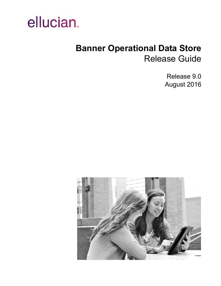

# **Banner Operational Data Store** Release Guide

Release 9.0 August 2016

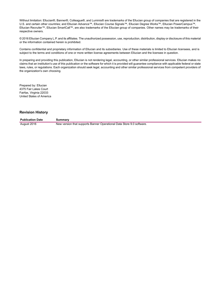Without limitation: Ellucian®, Banner®, Colleague®, and Luminis® are trademarks of the Ellucian group of companies that are registered in the U.S. and certain other countries; and Ellucian Advance™, Ellucian Course Signals™, Ellucian Degree Works™, Ellucian PowerCampus™, Ellucian Recruiter™, Ellucian SmartCall™, are also trademarks of the Ellucian group of companies. Other names may be trademarks of their respective owners.

© 2016 Ellucian Company L.P. and its affiliates. The unauthorized possession, use, reproduction, distribution, display or disclosure of this material or the information contained herein is prohibited.

Contains confidential and proprietary information of Ellucian and its subsidiaries. Use of these materials is limited to Ellucian licensees, and is subject to the terms and conditions of one or more written license agreements between Ellucian and the licensee in question.

In preparing and providing this publication, Ellucian is not rendering legal, accounting, or other similar professional services. Ellucian makes no claims that an institution's use of this publication or the software for which it is provided will guarantee compliance with applicable federal or state laws, rules, or regulations. Each organization should seek legal, accounting and other similar professional services from competent providers of the organization's own choosing.

Prepared by: Ellucian 4375 Fair Lakes Court Fairfax, Virginia 22033 United States of America

#### **Revision History**

**Publication Date Summary** August 2016 New version that supports Banner Operational Data Store 9.0 software.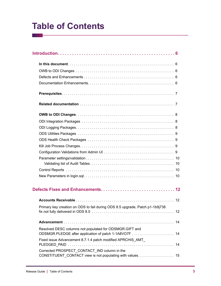# **Table of Contents**

| Primary key creation on ODS to fail during ODS 8.5 upgrade, Patch p1-1b9j738                               | 12 |
|------------------------------------------------------------------------------------------------------------|----|
|                                                                                                            |    |
| Resolved DESC columns not populated for ODSMGR.GIFT and                                                    |    |
| Fixed issue Advancement 8.7.1.4 patch modified APRCHIS AMT                                                 |    |
| Corrected PROSPECT CONTACT IND column in the<br>CONSTITUENT_CONTACT view is not populating with values. 15 |    |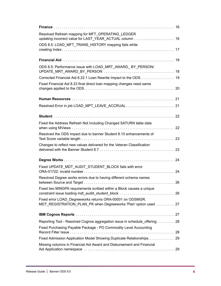| Resolved Refresh mapping for MFT OPERATING LEDGER                                                                            |
|------------------------------------------------------------------------------------------------------------------------------|
|                                                                                                                              |
| ODS 8.5: LOAD_MFT_TRANS_HISTORY mapping fails while                                                                          |
|                                                                                                                              |
|                                                                                                                              |
| ODS 8.5: Performance issue with LOAD_MRT_AWARD_ BY_PERSON/                                                                   |
| Corrected Financial Aid 8.22.1 Loan Rewrite Impact to the ODS. 19                                                            |
| Fixed Financial Aid 8.23 final direct loan mapping changes need same                                                         |
|                                                                                                                              |
| Resolved Error in job LOAD_MPT_LEAVE_ACCRUAL 21                                                                              |
|                                                                                                                              |
| Fixed the Address Refresh Not Including Changed SATURN table data                                                            |
| Resolved the ODS impact due to banner Student 8.10 enhancements of                                                           |
| Changes to reflect new values delivered for the Veteran Classification                                                       |
| 24                                                                                                                           |
| Fixed UPDATE_MDT_AUDIT_STUDENT_BLOCK fails with error                                                                        |
| Resolved Degree works errors due to having different schema names                                                            |
| Fixed two MINGPA requirements scribed within a Block causes a unique                                                         |
| Fixed error LOAD Degreeworks returns ORA-00001 on ODSMGR.<br>MDT_REGISTRATION_PLAN_PK when Degreeworks 'Plan' option used 27 |
|                                                                                                                              |
| Reporting Tool - Resolved Cognos aggregation issue in schedule_offering  28                                                  |
| Fixed Purchasing Payable Package - PO Commodity Level Accounting                                                             |
| Fixed Admission Application Model Showing Duplicate Relationships. 29                                                        |
| Missing columns in Financial Aid Award and Disbursement and Financial                                                        |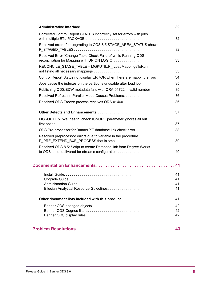| Corrected Control Report STATUS incorrectly set for errors with jobs                                                        | 32 |
|-----------------------------------------------------------------------------------------------------------------------------|----|
| Resolved error after upgrading to ODS 8.5 STAGE_AREA_STATUS shows                                                           |    |
| Resolved Error "Change Table Check Failure" while Running ODS                                                               |    |
| RECONCILE STAGE_TABLE - MGKUTIL.P_ LoadMappingsToRun                                                                        |    |
| Control Report Status not display ERROR when there are mapping errors 34                                                    |    |
|                                                                                                                             |    |
| Publishing ODS/EDW metadata fails with ORA-01722: invalid number. 35                                                        |    |
|                                                                                                                             |    |
|                                                                                                                             |    |
|                                                                                                                             |    |
| MGKOUTL.p_bxe_health_check IGNORE parameter ignores all but                                                                 |    |
|                                                                                                                             |    |
| Resolved preprocessor errors due to variable in the procedure                                                               |    |
| Resolved ODS 8.5: Script to create Database link from Degree Works<br>to ODS is not delivered for streams configuration  40 |    |
|                                                                                                                             |    |
|                                                                                                                             |    |
|                                                                                                                             |    |
| Other document lists included with this product  41                                                                         |    |
|                                                                                                                             |    |
|                                                                                                                             |    |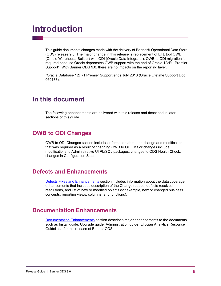# <span id="page-5-0"></span>**Introduction**

This guide documents changes made with the delivery of Banner® Operational Data Store (ODS) release 9.0. The major change in this release is replacement of ETL tool OWB (Oracle Warehouse Builder) with ODI (Oracle Data Integrator). OWB to ODI migration is required because Oracle deprecates OWB support with the end of Oracle 12cR1 Premier Support\*. With Banner ODS 9.0, there are no impacts on the reporting layer.

\*Oracle Database 12cR1 Premier Support ends July 2018 (Oracle Lifetime Support Doc 069183).

### <span id="page-5-1"></span>**In this document**

The following enhancements are delivered with this release and described in later sections of this guide.

### <span id="page-5-2"></span>**OWB to ODI Changes**

OWB to ODI Changes section includes information about the change and modification that was required as a result of changing OWB to ODI. Major changes include modifications to Administrative UI PL/SQL packages, changes to ODS Health Check, changes in Configuration Steps.

### <span id="page-5-3"></span>**Defects and Enhancements**

[Defects Fixes and Enhancements](#page-11-0) section includes information about the data coverage enhancements that includes description of the Change request defects resolved, resolutions, and list of new or modified objects (for example, new or changed business concepts, reporting views, columns, and functions).

### <span id="page-5-4"></span>**Documentation Enhancements**

[Documentation Enhancements](#page-40-0) section describes major enhancements to the documents such as Install guide, Upgrade guide, Administration guide, Ellucian Analytics Resource Guidelines for this release of Banner ODS.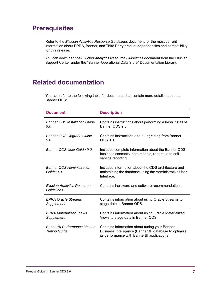## <span id="page-6-0"></span>**Prerequisites**

Refer to the *Ellucian Analytics Resource Guidelines* document for the most current information about BPRA, Banner, and Third Party product dependencies and compatibility for this release.

You can download the *Ellucian Analytics Resource Guidelines* document from the Ellucian Support Center under the "Banner Operational Data Store" Documentation Library.

## <span id="page-6-1"></span>**Related documentation**

You can refer to the following table for documents that contain more details about the Banner ODS:

| <b>Document</b>                                         | <b>Description</b>                                                                                                                                    |
|---------------------------------------------------------|-------------------------------------------------------------------------------------------------------------------------------------------------------|
| <b>Banner ODS Installation Guide</b><br>9.0             | Contains instructions about performing a fresh install of<br>Banner ODS 9.0.                                                                          |
| <b>Banner ODS Upgrade Guide</b><br>9.0                  | Contains instructions about upgrading from Banner<br>ODS <sub>9.0</sub>                                                                               |
| Banner ODS User Guide 9.0                               | Includes complete information about the Banner ODS<br>business concepts, data models, reports, and self-<br>service reporting.                        |
| <b>Banner ODS Administration</b><br>Guide 9.0           | Includes information about the ODS architecture and<br>maintaining the database using the Administrative User<br>Interface.                           |
| <b>Ellucian Analytics Resource</b><br><b>Guidelines</b> | Contains hardware and software recommendations.                                                                                                       |
| <b>BPRA Oracle Streams</b><br>Supplement                | Contains information about using Oracle Streams to<br>stage data in Banner ODS.                                                                       |
| <b>BPRA Materialized Views</b><br>Supplement            | Contains information about using Oracle Materialized<br>Views to stage data in Banner ODS.                                                            |
| <b>BannerBI Performance Master</b><br>Tuning Guide      | Contains information about tuning your Banner<br>Business Intelligence (BannerBI) database to optimize<br>its performance with BannerBI applications. |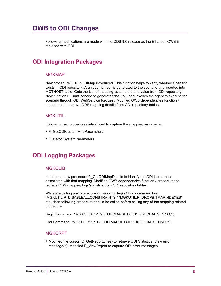## <span id="page-7-0"></span>**OWB to ODI Changes**

Following modifications are made with the ODS 9.0 release as the ETL tool, OWB is replaced with ODI.

### <span id="page-7-1"></span>**ODI Integration Packages**

### **MGKMAP**

New procedure F\_RunODIMap introduced. This function helps to verify whether Scenario exists in ODI repository. A unique number is generated to the scenario and inserted into MGTHOST table. Gets the List of mapping parameters and value from ODI repository. New function F\_RunScenario to generates the XML and invokes the agent to execute the scenario through ODI WebService Request. Modified OWB dependencies function / procedures to retrieve ODS mapping details from ODI repository tables.

### **MGKUTIL**

Following new procedures introduced to capture the mapping arguments.

- **•** F\_GetODICustomMapParameters
- **•** F\_GetodiSystemParameters

### <span id="page-7-2"></span>**ODI Logging Packages**

### **MGKOLIB**

Introduced new procedure P\_GetODIMapDetails to identify the ODI job number associated with that mapping. Modified OWB dependencies function / procedures to retrieve ODS mapping logs/statistics from ODI repository tables.

While are calling any procedure in mapping Begin / End command like "MGKUTIL.P\_DISABLEALLCONSTRAINTS," "MGKUTIL.P\_DROPBITMAPINDEXES" etc., then following procedure should be called before calling any of the mapping related procedure.

Begin Command: "MGKOLIB"."P\_GETODIMAPDETAILS" (#GLOBAL.SEQNO,1);

End Command: "MGKOLIB"."P\_GETODIMAPDETAILS"(#GLOBAL.SEQNO,3);

### MGKCRPT

**•** Modified the cursor (C\_GetReportLines) to retrieve ODI Statistics. View error message(s): Modified P\_ViewReport to capture ODI error messages.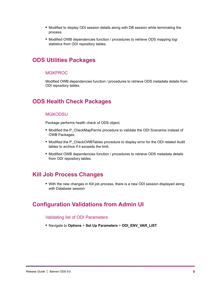- **•** Modified to display ODI session details along with DB session while terminating the process.
- **•** Modified OWB dependencies function / procedures to retrieve ODS mapping log/ statistics from ODI repository tables.

### <span id="page-8-0"></span>**ODS Utilities Packages**

### MGKPROC

Modified OWB dependencies function / procedures to retrieve ODS metadata details from ODI repository tables.

### <span id="page-8-1"></span>**ODS Health Check Packages**

### **MGKODSU**

Package performs health check of ODS object.

- Modified the P\_CheckMapParms procedure to validate the ODI Scenarios instead of OWB Packages.
- Modified the P\_CheckOWBTables procedure to display error for the ODI related Audit tables to archive if it exceeds the limit.
- **•** Modified OWB dependencies function / procedures to retrieve ODS metadata details from ODI repository tables.

### <span id="page-8-2"></span>**Kill Job Process Changes**

**•** With the new changes in Kill job process, there is a new ODI session displayed along with Database session

### <span id="page-8-3"></span>**Configuration Validations from Admin UI**

### Validating list of ODI Parameters

**•** Navigate to **Options** > **Set Up Parameters** > **ODI\_ENV\_VAR\_LIST**.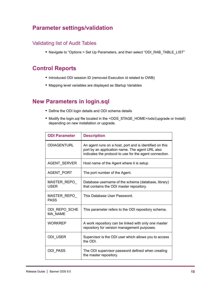### <span id="page-9-0"></span>**Parameter settings/validation**

### <span id="page-9-1"></span>Validating list of Audit Tables

**•** Navigate to "Options > Set Up Parameters, and then select "ODI\_RAB\_TABLE\_LIST"

### <span id="page-9-2"></span>**Control Reports**

- **•** Introduced ODI session ID (removed Execution id related to OWB)
- **•** Mapping level variables are displayed as Startup Variables

### <span id="page-9-3"></span>**New Parameters in login.sql**

- **•** Define the ODI login details and ODI schema details
- **•** Modify the login.sql file located in the <ODS\_STAGE\_HOME>/ods/(upgrade or Install) depending on new installation or upgrade.

| <b>ODI Parameter</b>            | <b>Description</b>                                                                                                                                                    |
|---------------------------------|-----------------------------------------------------------------------------------------------------------------------------------------------------------------------|
| <b>ODIAGENTURL</b>              | An agent runs on a host, port and is identified on this<br>port by an application name. The agent URL also<br>indicates the protocol to use for the agent connection. |
| AGENT_SERVER                    | Host name of the Agent where it is setup                                                                                                                              |
| AGENT_PORT                      | The port number of the Agent.                                                                                                                                         |
| MASTER REPO<br><b>USER</b>      | Database username of the schema (database, library)<br>that contains the ODI master repository.                                                                       |
| MASTER REPO<br><b>PASS</b>      | This Database User Password.                                                                                                                                          |
| ODI REPO SCHE<br><b>MA NAME</b> | This parameter refers to the ODI repository schema.                                                                                                                   |
| <b>WORKREP</b>                  | A work repository can be linked with only one master<br>repository for version management purposes.                                                                   |
| ODI USER                        | Supervisor is the ODI user which allows you to access<br>the ODI.                                                                                                     |
| <b>ODI PASS</b>                 | The ODI supervisor password defined when creating<br>the master repository.                                                                                           |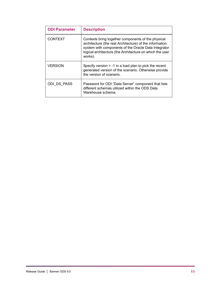| <b>ODI Parameter</b> | <b>Description</b>                                                                                                                                                                                                                           |
|----------------------|----------------------------------------------------------------------------------------------------------------------------------------------------------------------------------------------------------------------------------------------|
| <b>CONTEXT</b>       | Contexts bring together components of the physical<br>architecture (the real Architecture) of the information<br>system with components of the Oracle Data Integrator<br>logical architecture (the Architecture on which the user<br>works). |
| VERSION              | Specify version $= -1$ in a load plan to pick the recent<br>generated version of the scenario. Otherwise provide<br>the version of scenario.                                                                                                 |
| ODI DS PASS          | Password for ODI "Data Server" component that lists<br>different schemas utilized within the ODS Data<br>Warehouse schema.                                                                                                                   |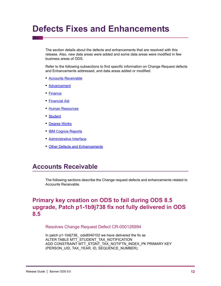# <span id="page-11-0"></span>**Defects Fixes and Enhancements**

The section details about the defects and enhancements that are resolved with this release. Also, new data areas were added and some data areas were modified in few business areas of ODS.

Refer to the following subsections to find specific information on Change Request defects and Enhancements addressed, and data areas added or modified.

- **•** [Accounts Receivable](#page-11-1)
- **•** [Advancement](#page-13-0)
- **•** [Finance](#page-15-0)
- **•** [Financial Aid](#page-17-0)
- **•** [Human Resources](#page-20-0)
- **•** [Student](#page-21-0)
- **•** [Degree Works](#page-23-0)
- **•** [IBM Cognos Reports](#page-26-1)
- **•** [Administrative Interface](#page-31-0)
- **•** [Other Defects and Enhancements](#page-36-0)

### <span id="page-11-1"></span>**Accounts Receivable**

The following sections describe the Change request defects and enhancements related to Accounts Receivable.

### <span id="page-11-2"></span>**Primary key creation on ODS to fail during ODS 8.5 upgrade, Patch p1-1b9j738 fix not fully delivered in ODS 8.5**

Resolves Change Request Defect CR-000126994

In patch p1-1b9j738\_ ods8040102 we have delivered the fix as ALTER TABLE MTT\_STUDENT\_TAX\_NOTIFICATION ADD CONSTRAINT MTT\_STDNT\_TAX\_NOTIFTN\_INDEX\_PK PRIMARY KEY (PERSON\_UID, TAX\_YEAR, ID, SEQUENCE\_NUMBER);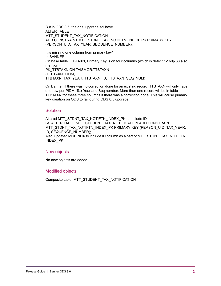But in ODS 8.5, the ods\_upgrade.sql have ALTER TABLE MTT\_STUDENT\_TAX\_NOTIFICATION ADD CONSTRAINT MTT\_STDNT\_TAX\_NOTIFTN\_INDEX\_PK PRIMARY KEY (PERSON\_UID, TAX\_YEAR, SEQUENCE\_NUMBER);

It is missing one column from primary key/ In BANNER, On base table TTBTAXN, Primary Key is on four columns (which is defect 1-1b9j738 also mention) PK\_TTBTAXN ON TAISMGR.TTBTAXN (TTBTAXN\_PIDM, TTBTAXN\_TAX\_YEAR, TTBTAXN\_ID, TTBTAXN\_SEQ\_NUM)

On Banner, if there was no correction done for an existing record, TTBTAXN will only have one row per PIDM, Tax Year and Seq number. More than one record will be in table TTBTAXN for these three columns if there was a correction done. This will cause primary key creation on ODS to fail during ODS 8.5 upgrade.

### Solution

Altered MTT\_STDNT\_TAX\_NOTIFTN\_INDEX\_PK to Include ID i.e. ALTER TABLE MTT\_STUDENT\_TAX\_NOTIFICATION ADD CONSTRAINT MTT\_STDNT\_TAX\_NOTIFTN\_INDEX\_PK PRIMARY KEY (PERSON\_UID, TAX\_YEAR, ID, SEQUENCE\_NUMBER); Also, updated MGBINDX to include ID column as a part of MTT\_STDNT\_TAX\_NOTIFTN\_ INDEX\_PK.

### New objects

No new objects are added.

### Modified objects

Composite table: MTT\_STUDENT\_TAX\_NOTIFICATION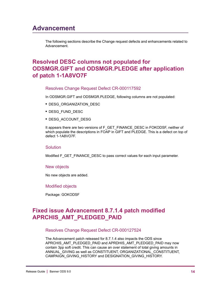## <span id="page-13-0"></span>**Advancement**

The following sections describe the Change request defects and enhancements related to Advancement.

### <span id="page-13-1"></span>**Resolved DESC columns not populated for ODSMGR.GIFT and ODSMGR.PLEDGE after application of patch 1-1A8VO7F**

### Resolves Change Request Defect CR-000117592

In ODSMGR.GIFT and ODSMGR.PLEDGE, following columns are not populated:

- **•** DESG\_ORGANIZATION\_DESC
- **•** DESG\_FUND\_DESC
- **•** DESG\_ACCOUNT\_DESG

It appears there are two versions of F\_GET\_FINANCE\_DESC in FOKODSF, neither of which populate the descriptions in FOAP in GIFT and PLEDGE. This is a defect on top of defect 1-1A8VO7F.

#### Solution

Modified F\_GET\_FINANCE\_DESC to pass correct values for each input parameter.

#### New objects

No new objects are added.

#### Modified objects

Package: GOKODSF

### <span id="page-13-2"></span>**Fixed issue Advancement 8.7.1.4 patch modified APRCHIS\_AMT\_PLEDGED\_PAID**

### Resolves Change Request Defect CR-000127524

The Advancement patch released for 8.7.1.4 also impacts the ODS since APRCHIS\_AMT\_PLEDGED\_PAID and APRDHIS\_AMT\_PLEDGED\_PAID may now contain 3pp soft credit. This can cause an over statement of total giving amounts in ANNUAL\_GIVING as well as CONSTITUENT, ORGANIZATIONAL\_CONSTITUENT, CAMPAIGN\_GIVING\_HISTORY and DESIGNATION\_GIVING\_HISTORY.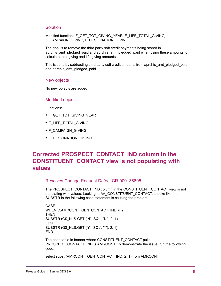### **Solution**

Modified functions F\_GET\_TOT\_GIVING\_YEAR, F\_LIFE\_TOTAL\_GIVING, F\_CAMPAIGN\_GIVING, F\_DESIGNATION\_GIVING.

The goal is to remove the third party soft credit payments being stored in aprchis\_amt\_pledged\_paid and aprdhis\_amt\_pledged\_paid when using these amounts to calculate total giving and life giving amounts.

This is done by subtracting third party soft credit amounts from aprchis amt pledged paid and aprdhis\_amt\_pledged\_paid.

#### New objects

No new objects are added.

#### Modified objects

Functions:

- **•** F\_GET\_TOT\_GIVING\_YEAR
- **•** F\_LIFE\_TOTAL\_GIVING
- **•** F\_CAMPAIGN\_GIVING
- **•** F\_DESIGNATION\_GIVING

### <span id="page-14-0"></span>**Corrected PROSPECT\_CONTACT\_IND column in the CONSTITUENT\_CONTACT view is not populating with values**

Resolves Change Request Defect CR-000138805

The PROSPECT\_CONTACT\_IND column in the CONSTITUENT\_CONTACT view is not populating with values. Looking at AA\_CONSTITUENT\_CONTACT, it looks like the SUBSTR in the following case statement is causing the problem.

CASE WHEN C.AMRCONT\_GEN\_CONTACT\_IND = 'Y' THEN SUBSTR (G\$\_NLS.GET ('N', 'SQL', 'N'), 2, 1) ELSE SUBSTR (G\$\_NLS.GET ('Y', 'SQL', 'Y'), 2, 1) END

The base table in banner where CONSTITUENT\_CONTACT pulls PROSPECT\_CONTACT\_IND is AMRCONT. To demonstrate the issue, run the following code:

select substr(AMRCONT\_GEN\_CONTACT\_IND, 2, 1) from AMRCONT;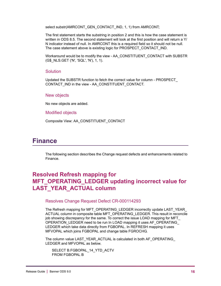select substr(AMRCONT\_GEN\_CONTACT\_IND, 1, 1) from AMRCONT;

The first statement starts the substring in position 2 and this is how the case statement is written in ODS 8.5. The second statement will look at the first position and will return a Y/ N indicator instead of null. In AMRCONT this is a required field so it should not be null. The case statement above is existing logic for PROSPECT\_CONTACT\_IND.

Workaround would be to modify the view - AA\_CONSTITUENT\_CONTACT with SUBSTR (G\$\_NLS.GET ('N', 'SQL', 'N'), 1, 1).

### Solution

Updated the SUBSTR function to fetch the correct value for column - PROSPECT\_ CONTACT\_IND in the view - AA\_CONSTITUENT\_CONTACT.

#### New objects

No new objects are added.

Modified objects

Composite View: AA\_CONSTITUENT\_CONTACT

### <span id="page-15-0"></span>**Finance**

The following section describes the Change request defects and enhancements related to Finance.

### <span id="page-15-1"></span>**Resolved Refresh mapping for MFT\_OPERATING\_LEDGER updating incorrect value for LAST\_YEAR\_ACTUAL column**

#### Resolves Change Request Defect CR-000114293

The Refresh mapping for MFT\_OPERATING\_LEDGER incorrectly update LAST\_YEAR ACTUAL column in composite table MFT\_OPERATING\_LEDGER. This result in reconcile job showing discrepancy for the same. To correct the issue LOAD mapping for MFT\_ OPERATION\_LEDGER need to be run In LOAD mapping it uses AF\_OPERATING\_ LEDGER which take data directly from FGBOPAL. In REFRESH mapping it uses MFVOPAL which joins FGBOPAL and change table FGROCHG.

The column value LAST\_YEAR\_ACTUAL is calculated in both AF\_OPERATING\_ LEDGER and MFVOPAL as below.

SELECT B.FGBOPAL\_14\_YTD\_ACTV FROM FGBOPAL B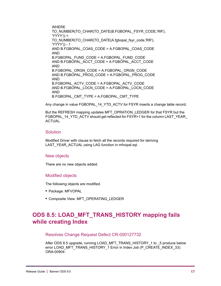WHERE TO\_NUMBER(TO\_CHAR(TO\_DATE(B.FGBOPAL\_FSYR\_CODE,'RR'), 'YYYY')) = TO\_NUMBER(TO\_CHAR(TO\_DATE(A.fgbopal\_fsyr\_code,'RR'), 'YYYY')) - 1 AND B.FGBOPAL\_COAS\_CODE = A.FGBOPAL\_COAS\_CODE AND B.FGBOPAL\_FUND\_CODE = A.FGBOPAL\_FUND\_CODE AND B.FGBOPAL\_ACCT\_CODE = A.FGBOPAL\_ACCT\_CODE AND B.FGBOPAL\_ORGN\_CODE = A.FGBOPAL\_ORGN\_CODE AND B.FGBOPAL\_PROG\_CODE = A.FGBOPAL\_PROG\_CODE AND B.FGBOPAL\_ACTV\_CODE = A.FGBOPAL\_ACTV\_CODE AND B.FGBOPAL\_LOCN\_CODE = A.FGBOPAL\_LOCN\_CODE AND B.FGBOPAL\_CMT\_TYPE = A.FGBOPAL\_CMT\_TYPE

Any change in value FGBOPAL\_14\_YTD\_ACTV for FSYR inserts a change table record.

But the REFRESH mapping updates MFT\_OPRATION\_LEDGER for that FSYR but the FGBOPAL\_14\_YTD\_ACTV should get reflected for FSYR+1 for the column LAST\_YEAR\_ ACTUAL.

### Solution

Modified Driver with clause to fetch all the records required for deriving LAST\_YEAR\_ACTUAL using LAG function in mfvopal.sql.

### New objects

There are no new objects added.

### Modified objects

The following objects are modified.

- **•** Package: MFVOPAL
- **•** Composite View: MFT\_OPERATING\_LEDGER

### <span id="page-16-0"></span>**ODS 8.5: LOAD\_MFT\_TRANS\_HISTORY mapping fails while creating Index**

### Resolves Change Request Defect CR-000127732

After ODS 8.5 upgrade, running LOAD\_MFT\_TRANS\_HISTORY\_1 to \_5 produce below error LOAD\_MFT\_TRANS\_HISTORY\_1 Error in Index Job (P\_CREATE\_INDEX\_33): ORA-00904: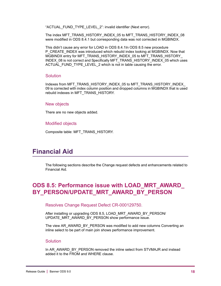"ACTUAL\_FUND\_TYPE\_LEVEL\_2": invalid identifier (Next error).

The index MFT\_TRANS\_HISTORY\_INDEX\_05 to MFT\_TRANS\_HISTORY\_INDEX\_08 were modified in ODS 8.4.1 but corresponding data was not corrected in MGBINDX.

This didn't cause any error for LOAD in ODS 8.4.1In ODS 8.5 new procedure P\_CREATE\_INDEX was introduced which rebuild index looking at MGBINDX. Now that MGBINDX entry for MFT\_TRANS\_HISTORY\_INDEX\_05 to MFT\_TRANS\_HISTORY\_ INDEX\_08 is not correct and Specifically MFT\_TRANS\_HISTORY\_INDEX\_05 which uses ACTUAL\_FUND\_TYPE\_LEVEL\_2 which is not in table causing the error.

#### Solution

Indexes from MFT\_TRANS\_HISTORY\_INDEX\_05 to MFT\_TRANS\_HISTORY\_INDEX 09 is corrected with index column position and dropped columns in MGBINDX that is used rebuild indexes in MFT\_TRANS\_HISTORY.

#### New objects

There are no new objects added.

#### Modified objects

Composite table: MFT\_TRANS\_HISTORY.

### <span id="page-17-0"></span>**Financial Aid**

The following sections describe the Change request defects and enhancements related to Financial Aid.

### <span id="page-17-1"></span>**ODS 8.5: Performance issue with LOAD\_MRT\_AWARD\_ BY\_PERSON/UPDATE\_MRT\_AWARD\_BY\_PERSON**

Resolves Change Request Defect CR-000129750.

After installing or upgrading ODS 8.5, LOAD\_MRT\_AWARD\_BY\_PERSON/ UPDATE\_MRT\_AWARD\_BY\_PERSON show performance issue.

The view AR\_AWARD\_BY\_PERSON was modified to add new columns Converting an inline select to be part of main join shows performance improvement.

### **Solution**

In AR\_AWARD\_BY\_PERSON removed the inline select from STVMAJR and instead added it to the FROM and WHERE clause.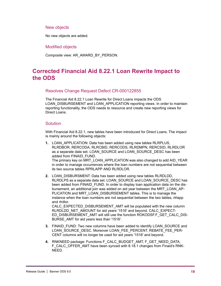### New objects

No new objects are added.

Modified objects

Composite view: AR\_AWARD\_BY\_PERSON.

### <span id="page-18-0"></span>**Corrected Financial Aid 8.22.1 Loan Rewrite Impact to the ODS**

### Resolves Change Request Defect CR-000122855

The Financial Aid 8.22.1 Loan Rewrite for Direct Loans impacts the ODS LOAN\_DISBURSEMENT and LOAN\_APPLICATION reporting views. In order to maintain reporting functionality, the ODS needs to resource and create new reporting views for Direct Loans.

### Solution

With Financial Aid 8.22.1, new tables have been introduced for Direct Loans. The impact is mainly around the following objects:

- **1.** LOAN\_APPLICATION: Data has been added using new tables RLRPLUS, RLRDBOR, RERCODA, RLRCBID, RERCODS, RLRDMPN, RERCSID, RLRDLOR as a separate data set. LOAN\_SOURCE and LOAN\_SOURCE\_DESC has been added from FINAID\_FUND. The primary key on MRT\_LOAN\_APPLICATION was also changed to add AID\_YEAR in order to manage occurrences where the loan numbers are not sequential between its two source tables RPRLAPP AND RLRDLOR.
- **2.** LOAN DISBURSMENT: Data has been added using new tables RLRDLDD, RLRDLPS as a separate data set. LOAN\_SOURCE and LOAN\_SOURCE\_DESC has been added from FINAID FUND. In order to display loan application data on the disbursement, an additional join was added on aid year between the MRT\_LOAN\_AP-PLICATION and MRT\_LOAN\_DISBURSEMENT tables. This is to manage the instance when the loan numbers are not sequential between the two tables, rirlapp and rlrdlor. CALC\_EXPECTED\_DISBURSEMENT\_AMT will be populated with the new column RLRDLDD\_NET\_AMOUNT for aid years '1516' and beyond. CALC\_EXPECT-ED\_DISBURSEMENT\_AMT will still use the function ROKODSF.F\_GET\_CALC\_DIS-BURSE\_AMT for aid years less than '1516'.
- **3.** FINAID\_FUND: Two new columns have been added to identify LOAN\_SOURCE and LOAN\_SOURCE\_DESC. Moreover LOAN\_FEE\_PERCENT, REBATE\_FEE\_PER-CENT columns will no longer be used for aid years '1516' and beyond.
- **4.** RNKNEED package: Functions F\_CALC\_BUDGET\_AMT, F\_GET\_NEED\_DATA, F\_CALC\_OFFER\_AMT have been synced with 8.18.1 changes from Finaid's RNK-NEED.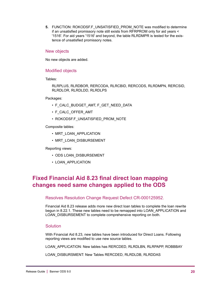**5.** FUNCTION: ROKODSF.F\_UNSATISFIED\_PROM\_NOTE was modified to determine if an unsatisfied promissory note still exists from RFRPROM only for aid years < '1516'. For aid years '1516' and beyond, the table RLRDMPR is tested for the existence of unsatisfied promissory notes.

### New objects

No new objects are added.

### Modified objects

Tables:

RLRPLUS, RLRDBOR, RERCODA, RLRCBID, RERCODS, RLRDMPN, RERCSID, RLRDLOR, RLRDLDD, RLRDLPS

Packages:

- F\_CALC\_BUDGET\_AMT, F\_GET\_NEED\_DATA
- F\_CALC\_OFFER\_AMT
- ROKODSF.F\_UNSATISFIED\_PROM\_NOTE

Composite tables:

- MRT\_LOAN\_APPLICATION
- MRT\_LOAN\_DISBURSEMENT

Reporting views:

- ODS LOAN\_DISBURSEMENT
- LOAN APPLICATION

### <span id="page-19-0"></span>**Fixed Financial Aid 8.23 final direct loan mapping changes need same changes applied to the ODS**

Resolves Resolution Change Request Defect CR-000125952.

Financial Aid 8.23 release adds more new direct loan tables to complete the loan rewrite begun in 8.22.1. These new tables need to be remapped into LOAN\_APPLICATION and LOAN\_DISBURSEMENT to complete comprehensive reporting on both.

### **Solution**

With Financial Aid 8.23, new tables have been introduced for Direct Loans. Following reporting views are modified to use new source tables.

LOAN\_APPLICATION: New tables has RERCDED, RLRDLBN, RLRPAPP, ROBBBAY

LOAN\_DISBURSMENT: New Tables RERCDED, RLRDLDB, RLRDDAS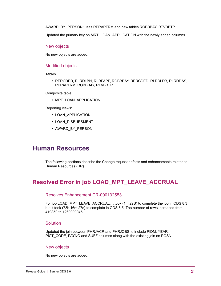AWARD\_BY\_PERSON: uses RPRAPTRM and new tables ROBBBAY, RTVBBTP

Updated the primary key on MRT\_LOAN\_APPLICATION with the newly added columns.

#### New objects

No new objects are added.

#### Modified objects

**Tables** 

• RERCDED, RLRDLBN, RLRPAPP, ROBBBAY, RERCDED, RLRDLDB, RLRDDAS, RPRAPTRM, ROBBBAY, RTVBBTP

Composite table

• MRT\_LOAN\_APPLICATION.

Reporting views:

- LOAN\_APPLICATION
- LOAN\_DISBURSMENT
- AWARD\_BY\_PERSON

### <span id="page-20-0"></span>**Human Resources**

The following sections describe the Change request defects and enhancements related to Human Resources (HR).

### <span id="page-20-1"></span>**Resolved Error in job LOAD\_MPT\_LEAVE\_ACCRUAL**

### Resolves Enhancement CR-000132553

For job LOAD\_MPT\_LEAVE\_ACCRUAL, it took (1m 22S) to complete the job in ODS 8.3 but it took (73h 16m 27s) to complete in ODS 8.5. The number of rows increased from 419850 to 1260303045.

### Solution

Updated the join between PHRJACR and PHRJOBS to include PIDM, YEAR, PICT\_CODE, PAYNO and SUFF columns along with the existing join on POSN.

### New objects

No new objects are added.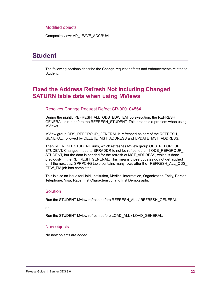### Modified objects

Composite view: AP\_LEAVE\_ACCRUAL

### <span id="page-21-0"></span>**Student**

The following sections describe the Change request defects and enhancements related to Student.

### <span id="page-21-1"></span>**Fixed the Address Refresh Not Including Changed SATURN table data when using MViews**

#### Resolves Change Request Defect CR-000104564

During the nightly REFRESH\_ALL\_ODS\_EDW\_EM job execution, the REFRESH\_ GENERAL is run before the REFRESH\_STUDENT. This presents a problem when using MViews.

MView group ODS\_REFGROUP\_GENERAL is refreshed as part of the REFRESH GENERAL, followed by DELETE\_MST\_ADDRESS and UPDATE\_MST\_ADDRESS.

Then REFRESH\_STUDENT runs, which refreshes MView group ODS\_REFGROUP\_ STUDENT. Changes made to SPRADDR to not be refreshed until ODS\_REFGROUP\_ STUDENT, but the data is needed for the refresh of MST\_ADDRESS, which is done previously in the REFRESH\_GENERAL. This means those updates do not get applied until the next day. SPRPCHG table contains many rows after the REFRESH\_ALL\_ODS\_ EDW\_EM job has completed.

This is also an issue for Hold, Institution, Medical Information, Organization Entity, Person, Telephone, Visa, Race, Inst Characteristic, and Inst Demographic

### **Solution**

Run the STUDENT Mview refresh before REFRESH\_ALL / REFRESH\_GENERAL

#### or

Run the STUDENT Mview refresh before LOAD\_ALL / LOAD\_GENERAL.

#### New objects

No new objects are added.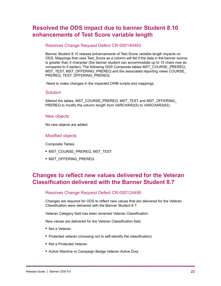### <span id="page-22-0"></span>**Resolved the ODS impact due to banner Student 8.10 enhancements of Test Score variable length**

### Resolves Change Request Defect CR-000140463

Banner Student 8.10 release enhancements of Test Score variable length impacts on ODS. Mappings that uses Test\_Score as a column will fail if the data in the banner source is greater than 5 character (the banner student can accommodate up to 15 chars now as compared to 5 earlier). The following ODS Composite tables MST\_COURSE\_PREREQ, MST\_TEST, MST\_OFFERING\_PREREQ and the associated reporting views COURSE PREREQ, TEST, OFFERING\_PREREQ.

Need to make changes in the impacted OWB scripts and mappings.

### **Solution**

Altered the tables, MST\_COURSE\_PREREQ, MST\_TEST and MST\_OFFERING\_ PREREQ to modify the column length from VARCHAR2(5) to VARCHAR2(63).

### New objects

No new objects are added.

### Modified objects

Composite Tables:

- **•** MST\_COURSE\_PREREQ, MST\_TEST
- **•** MST\_OFFERING\_PREREQ

### <span id="page-22-1"></span>**Changes to reflect new values delivered for the Veteran Classification delivered with the Banner Student 8.7**

### Resolves Change Request Defect CR-000124495

Changes are required for ODS to reflect new values that are delivered for the Veteran Classification were delivered with the Banner Student 8.7:

Veteran Category field has been renamed Veteran Classification.

New values are delivered for the Veteran Classification field.

- **•** Not a Veteran
- **•** Protected veteran (choosing not to self-identify the classification)
- **•** Not a Protected Veteran
- **•** Active Wartime or Campaign Badge Veteran Active Duty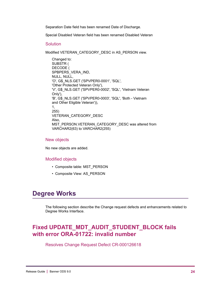Separation Date field has been renamed Date of Discharge.

Special Disabled Veteran field has been renamed Disabled Veteran

#### **Solution**

Modified VETERAN\_CATEGORY\_DESC in AS\_PERSON view.

Changed to: SUBSTR ( DECODE ( SPBPERS\_VERA\_IND, NULL, NULL, 'O', G\$\_NLS.GET ('SPVPER0-0001', 'SQL', 'Other Protected Veteran Only'), 'V', G\$\_NLS.GET ('SPVPER0-0002', 'SQL', 'Vietnam Veteran Only'), 'B', G\$\_NLS.GET ('SPVPER0-0003', 'SQL', 'Both - Vietnam and Other Eligible Veteran')), 1, 255) VETERAN\_CATEGORY\_DESC Also, MST\_PERSON.VETERAN\_CATEGORY\_DESC was altered from VARCHAR2(63) to VARCHAR2(255)

#### New objects

No new objects are added.

#### Modified objects

- Composite table: MST\_PERSON
- Composite View: AS\_PERSON

### <span id="page-23-0"></span>**Degree Works**

The following section describe the Change request defects and enhancements related to Degree Works Interface.

### <span id="page-23-1"></span>**Fixed UPDATE\_MDT\_AUDIT\_STUDENT\_BLOCK fails with error ORA-01722: invalid number**

Resolves Change Request Defect CR-000126618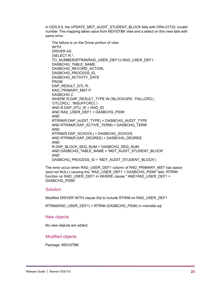In ODS 8.5, the UPDATE\_MDT\_AUDIT\_STUDENT\_BLOCK fails with ORA-01722: invalid number. The mapping takes value from MDVSTBK view and a select on this view fails with same error.

The failure is on the Driver portion of view **WITH** DRIVER AS (SELECT R.\*, TO\_NUMBER(RTRIM(RAD\_USER\_DEF1)) RAD\_USER\_DEF1, DASBCHG\_TABLE\_NAME, DASBCHG\_RECORD\_ACTION, DASBCHG\_PROCESS\_ID, DASBCHG\_ACTIVITY\_DATE FROM DAP\_RESULT\_DTL R, RAD\_PRIMARY\_MST P, DASBCHG C WHERE R.DAP\_RESULT\_TYPE IN ('BLOCKGPA', 'FALLCRCL', 'OTLCRCL', 'INSUFFCRCL') AND R.DAP\_STU\_ID = RAD\_ID AND RAD\_USER\_DEF1 = DASBCHG\_PIDM AND RTRIM(R.DAP\_AUDIT\_TYPE) = DASBCHG\_AUDIT\_TYPE AND RTRIM(R.DAP\_ACTIVE\_TERM) = DASBCHG\_TERM AND RTRIM(R.DAP\_SCHOOL) = DASBCHG\_SCHOOL AND RTRIM(R.DAP\_DEGREE) = DASBCHG\_DEGREE AND R.DAP\_BLOCK\_SEQ\_NUM = DASBCHG\_SEQ\_NUM AND DASBCHG\_TABLE\_NAME = 'MDT\_AUDIT\_STUDENT\_BLOCK' AND DASBCHG\_PROCESS\_ID = 'MDT\_AUDIT\_STUDENT\_BLOCK')

The error occur when RAD\_USER\_DEF1 column of RAD\_PRIMARY\_MST has space (and not NULL) causing the "RAD\_USER\_DEF1 = DASBCHG\_PIDM" fails. RTRIM function on RAD\_USER\_DEF1 in WHERE clause " AND RAD\_USER\_DEF1 = DASBCHG\_PIDM".

### Solution

Modified DRIVER WITH clause Sql to include RTRIM on RAD\_USER\_DEF1

RTRIM(RAD\_USER\_DEF1) = RTRIM (DASBCHG\_PIDM) in mdvstbk.sql

#### New objects

No new objects are added.

#### Modified objects

Package: MDVSTBK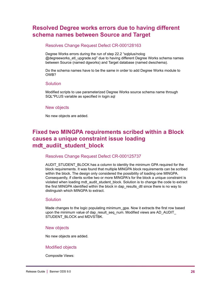### <span id="page-25-0"></span>**Resolved Degree works errors due to having different schema names between Source and Target**

### Resolves Change Request Defect CR-000128163

Degree Works errors during the run of step 22.2 "sqlplus/nolog @degreeworks\_etl\_upgrade.sql" due to having different Degree Works schema names between Source (named dgworks) and Target database (named dwschema).

Do the schema names have to be the same in order to add Degree Works module to OWB?

### **Solution**

Modified scripts to use parameterized Degree Works source schema name through SQL\*PLUS variable as specified in login.sql

#### New objects

No new objects are added.

### <span id="page-25-1"></span>**Fixed two MINGPA requirements scribed within a Block causes a unique constraint issue loading mdt\_audiit\_student\_block**

### Resolves Change Request Defect CR-000125737

AUDIT\_STUDENT\_BLOCK has a column to identity the minimum GPA required for the block requirements. It was found that multiple MINGPA block requirements can be scribed within the block. The design only considered the possibility of loading one MINGPA. Consequently, if clients scribe two or more MINGPA's for the block a unique constraint is violated when loading mdt audit student block. Solution is to change the code to extract the first MINGPA identified within the block in dap\_results\_dtl since there is no way to distinguish which MINGPA to extract.

### **Solution**

Made changes to the logic populating minimum\_gpa. Now it extracts the first row based upon the minimum value of dap\_result\_seq\_num. Modified views are AD\_AUDIT STUDENT\_BLOCK and MDVSTBK.

#### New objects

No new objects are added.

### Modified objects

Composite Views: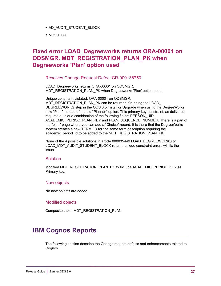- **•** AD\_AUDIT\_STUDENT\_BLOCK
- **•** MDVSTBK

### <span id="page-26-0"></span>**Fixed error LOAD\_Degreeworks returns ORA-00001 on ODSMGR. MDT\_REGISTRATION\_PLAN\_PK when Degreeworks 'Plan' option used**

Resolves Change Request Defect CR-000138750

LOAD Degreeworks returns ORA-00001 on ODSMGR. MDT\_REGISTRATION\_PLAN\_PK when Degreeworks 'Plan' option used.

Unique constraint violated, ORA-00001 on ODSMGR. MDT\_REGISTRATION\_PLAN\_PK can be returned if running the LOAD\_ DEGREEWORKS step in the ODS 8.5 Install or Upgrade when using the DegreeWorks' new "Plan" instead of the old "Planner" option. This primary key constraint, as delivered, requires a unique combination of the following fields: PERSON\_UID, ACADEMIC\_PERIOD, PLAN\_KEY and PLAN\_SEQUENCE\_NUMBER. There is a part of the "plan" page where you can add a "Choice" record. It is there that the DegreeWorks system creates a new TERM\_ID for the same term description requiring the academic\_period\_id to be added to the MDT\_REGISTRATION\_PLAN\_PK.

None of the 4 possible solutions in article 000035449 LOAD\_DEGREEWORKS or LOAD\_MDT\_AUDIT\_STUDENT\_BLOCK returns unique constraint errors will fix the issue.

### **Solution**

Modified MDT\_REGISTRATION\_PLAN\_PK to Include ACADEMIC\_PERIOD\_KEY as Primary key.

### New objects

No new objects are added.

#### Modified objects

Composite table: MDT\_REGISTRATION\_PLAN

## <span id="page-26-1"></span>**IBM Cognos Reports**

The following section describe the Change request defects and enhancements related to Cognos.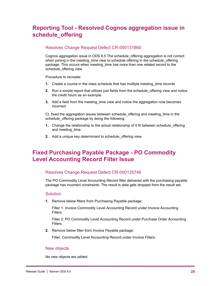## <span id="page-27-0"></span>**Reporting Tool - Resolved Cognos aggregation issue in schedule\_offering**

### Resolves Change Request Defect CR-000131860

Cognos aggregation issue in ODS 8.5 The schedule\_offering aggregation is not correct when joining in the meeting time view to schedule offering in the schedule offering package. This occurs when meeting\_time has more than one related record to the schedule\_offering view.

Procedure to recreate:

- **1.** Create a course in the class schedule that has multiple meeting time records
- **2.** Run a simple report that utilizes just fields from the schedule\_offering view and notice the credit hours as an example
- **3.** Add a field from the meeting time view and notice the aggregation now becomes incorrect

Ct. fixed the aggregation issues between schedule\_offering and meeting\_time in the schedule offering package by doing the following:

- **1.** Change the relationship to the actual relationship of 0:N between schedule offering and meeting time.
- **2.** Add a unique key determinant to schedule\_offering view.

### <span id="page-27-1"></span>**Fixed Purchasing Payable Package - PO Commodity Level Accounting Record Filter Issue**

### Resolves Change Request Defect CR-000135746

The PO Commodity Level Accounting Record filter delivered with the purchasing payable package has incorrect constraints. The result is data gets dropped from the result set.

### Solution

**1.** Remove below filters from Purchasing Payable package:

Filter 1: Invoice Commodity Level Accounting Record under Invoice Accounting Filters.

Filter 2: PO Commodity Level Accounting Record under Purchase Order Accounting Filters.

**2.** Remove below filter from Invoice Payable package:

Filter: Commodity Level Accounting Record under Invoice Filters.

### New objects

No new objects are added.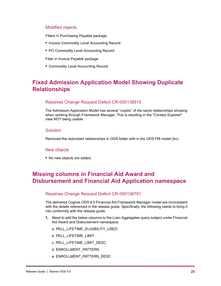### Modified objects

Filters in Purchasing Payable package

- **•** Invoice Commodity Level Accounting Record
- **•** PO Commodity Level Accounting Record

Filter in Invoice Payable package

**•** Commodity Level Accounting Record

### <span id="page-28-0"></span>**Fixed Admission Application Model Showing Duplicate Relationships**

### Resolves Change Request Defect CR-000138515

The Admission Application Model has several "copies" of the same relationships showing when working through Framework Manager. This is resulting in the "Context Explorer" view NOT being usable.

#### **Solution**

Removed the redundant relationships in ODS folder with in the ODS FM model (bv).

#### New objects

**•** No new objects are added.

### <span id="page-28-1"></span>**Missing columns in Financial Aid Award and Disbursement and Financial Aid Application namespace**

### Resolves Change Request Defect CR-000136791

The delivered Cognos ODS 8.5 Financial Aid Framework Manager model are inconsistent with the details referenced in the release guide. Specifically, the following needs to bring it into conformity with the release guide.

- **1.** Need to add the below columns to the Loan Aggregates query subject under Financial Aid Award and Disbursement namespace.
	- a. PELL\_LIFETIME\_ELIGIBILITY\_USED
	- b. PELL\_LIFETIME\_LIMIT
	- c. PELL\_LIFETIME\_LIMIT\_DESC
	- d. ENROLLMENT\_PATTERN
	- e. ENROLLMENT\_PATTERN\_DESC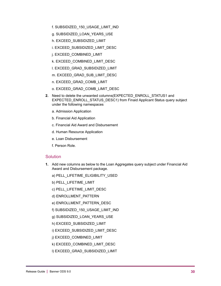- f. SUBSIDIZED\_150\_USAGE\_LIMIT\_IND
- g. SUBSIDIZED\_LOAN\_YEARS\_USE
- h. EXCEED\_SUBSIDIZED\_LIMIT
- i. EXCEED\_SUBSIDIZED\_LIMIT\_DESC
- j. EXCEED\_COMBINED\_LIMIT
- k. EXCEED\_COMBINED\_LIMIT\_DESC
- l. EXCEED\_GRAD\_SUBSIDIZED\_LIMIT
- m. EXCEED\_GRAD\_SUB\_LIMIT\_DESC
- n. EXCEED\_GRAD\_COMB\_LIMIT
- o. EXCEED\_GRAD\_COMB\_LIMIT\_DESC
- **2.** Need to delete the unwanted columns(EXPECTED\_ENROLL\_STATUS1 and EXPECTED\_ENROLL\_STATUS\_DESC1) from Finaid Applicant Status query subject under the following namespaces
	- a. Admission Application
	- b. Financial Aid Application
	- c. Financial Aid Award and Disbursement
	- d. Human Resource Application
	- e. Loan Disbursement
	- f. Person Role.

### **Solution**

- **1.** Add new columns as below to the Loan Aggregates query subject under Financial Aid Award and Disbursement package.
	- a) PELL\_LIFETIME\_ELIGIBILITY\_USED
	- b) PELL\_LIFETIME\_LIMIT
	- c) PELL\_LIFETIME\_LIMIT\_DESC
	- d) ENROLLMENT\_PATTERN
	- e) ENROLLMENT\_PATTERN\_DESC
	- f) SUBSIDIZED\_150\_USAGE\_LIMIT\_IND
	- g) SUBSIDIZED\_LOAN\_YEARS\_USE
	- h) EXCEED\_SUBSIDIZED\_LIMIT
	- i) EXCEED\_SUBSIDIZED\_LIMIT\_DESC
	- j) EXCEED\_COMBINED\_LIMIT
	- k) EXCEED\_COMBINED\_LIMIT\_DESC
	- l) EXCEED\_GRAD\_SUBSIDIZED\_LIMIT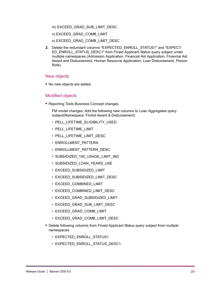#### m) EXCEED\_GRAD\_SUB\_LIMIT\_DESC

- n) EXCEED\_GRAD\_COMB\_LIMIT
- o) EXCEED\_GRAD\_COMB\_LIMIT\_DESC
- **2.** Delete the redundant columns "EXPECTED\_ENROLL\_STATUS1" and "EXPECT-ED\_ENROLL\_STATUS\_DESC1" from Finaid Applicant Status query subject under multiple namespaces (Admission Application, Financial Aid Application, Financial Aid Award and Disbursement, Human Resource Application, Loan Disbursement, Person Role).

### New objects

**•** No new objects are added.

### Modified objects

**•** Reporting Tools Business Concept changes

FM model changes: Add the following new columns to Loan Aggregates query subject(Namespace: FinAid Award & Disbursement)

- PELL\_LIFETIME\_ELIGIBILITY\_USED
- PELL\_LIFETIME\_LIMIT
- PELL LIFETIME LIMIT DESC
- ENROLLMENT\_PATTERN
- ENROLLMENT\_PATTERN\_DESC
- SUBSIDIZED\_150\_USAGE\_LIMIT\_IND
- SUBSIDIZED\_LOAN\_YEARS\_USE
- EXCEED\_SUBSIDIZED\_LIMIT
- EXCEED\_SUBSIDIZED\_LIMIT\_DESC
- EXCEED\_COMBINED\_LIMIT
- EXCEED\_COMBINED\_LIMIT\_DESC
- EXCEED\_GRAD\_SUBSIDIZED\_LIMIT
- EXCEED\_GRAD\_SUB\_LIMIT\_DESC
- EXCEED\_GRAD\_COMB\_LIMIT
- EXCEED\_GRAD\_COMB\_LIMIT\_DESC
- **•** Delete following columns from Finaid Applicant Status query subject from multiple namespaces:
	- EXPECTED ENROLL STATUS1
	- EXPECTED\_ENROLL\_STATUS\_DESC1.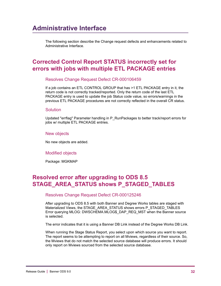<span id="page-31-0"></span>The following section describe the Change request defects and enhancements related to Administrative Interface.

### <span id="page-31-1"></span>**Corrected Control Report STATUS incorrectly set for errors with jobs with multiple ETL PACKAGE entries**

Resolves Change Request Defect CR-000106459

If a job contains an ETL CONTROL GROUP that has >1 ETL PACKAGE entry in it, the return code is not correctly tracked/reported. Only the return code of the last ETL PACKAGE entry is used to update the job Status code value, so errors/warnings in the previous ETL PACKAGE procedures are not correctly reflected in the overall CR status.

### **Solution**

Updated "errflag" Parameter handling in P\_RunPackages to better track/report errors for jobs w/ multiple ETL PACKAGE entries.

### New objects

No new objects are added.

### Modified objects

Package: MGKMAP

### <span id="page-31-2"></span>**Resolved error after upgrading to ODS 8.5 STAGE\_AREA\_STATUS shows P\_STAGED\_TABLES**

### Resolves Change Request Defect CR-000125246

After upgrading to ODS 8.5 with both Banner and Degree Works tables are staged with Materialized Views, the STAGE\_AREA\_STATUS shows errors P\_STAGED\_TABLES Error querying MLOG: DWSCHEMA.MLOG\$\_DAP\_REQ\_MST when the Banner source is selected.

The error indicates that it is using a Banner DB Link instead of the Degree Works DB Link.

When running the Stage Status Report, you select upon which source you want to report. The report seems to be attempting to report on all Mviews, regardless of their source. So, the Mviews that do not match the selected source database will produce errors. It should only report on Mviews sourced from the selected source database.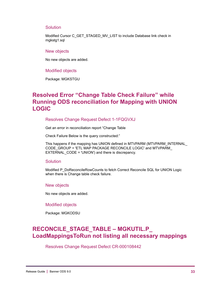#### **Solution**

Modified Cursor C\_GET\_STAGED\_MV\_LIST to include Database link check in mgkstg1.sql

#### New objects

No new objects are added.

#### Modified objects

Package: MGKSTGU

### <span id="page-32-0"></span>**Resolved Error "Change Table Check Failure" while Running ODS reconciliation for Mapping with UNION LOGIC**

### Resolves Change Request Defect 1-1FQGVXJ

Get an error in reconciliation report "Change Table

Check Failure Below is the query constructed:"

This happens if the mapping has UNION defined in MTVPARM (MTVPARM\_INTERNAL CODE\_GROUP = 'ETL MAP PACKAGE RECONCILE LOGIC' and MTVPARM EXTERNAL\_CODE = 'UNION') and there is discrepancy.

#### Solution

Modified P\_DoReconcileRowCounts to fetch Correct Reconcile SQL for UNION Logic when there is Change table check failure.

#### New objects

No new objects are added.

#### Modified objects

Package: MGKODSU

### <span id="page-32-1"></span>**RECONCILE\_STAGE\_TABLE – MGKUTIL.P\_ LoadMappingsToRun not listing all necessary mappings**

Resolves Change Request Defect CR-000108442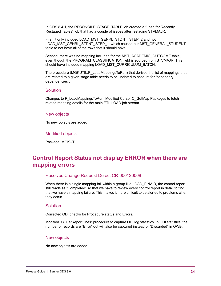In ODS 8.4.1, the RECONCILE\_STAGE\_TABLE job created a "Load for Recently Restaged Tables" job that had a couple of issues after restaging STVMAJR.

First, it only included LOAD\_MST\_GENRL\_STDNT\_STEP\_2 and not LOAD\_MST\_GENRL\_STDNT\_STEP\_1, which caused our MST\_GENERAL\_STUDENT table to not have all of the rows that it should have.

Second, there was no mapping included for the MST\_ACADEMIC\_OUTCOME table, even though the PROGRAM\_CLASSIFICATION field is sourced from STVMAJR. This should have included mapping LOAD MST\_CURRICULUM\_BATCH.

The procedure (MGKUTIL.P\_LoadMappingsToRun) that derives the list of mappings that are related to a given stage table needs to be updated to account for "secondary dependencies".

#### **Solution**

Changes to P\_LoadMappingsToRun. Modified Cursor C\_GetMap Packages to fetch related mapping details for the main ETL LOAD job stream.

#### New objects

No new objects are added.

#### Modified objects

Package: MGKUTIL

### <span id="page-33-0"></span>**Control Report Status not display ERROR when there are mapping errors**

#### Resolves Change Request Defect CR-000120008

When there is a single mapping fail within a group like LOAD FINAID, the control report still reads as "Completed" so that we have to review every control report in detail to find that we have a mapping failure. This makes it more difficult to be alerted to problems when they occur.

#### Solution

Corrected ODI checks for Procedure status and Errors.

Modified "C\_GetReportLines" procedure to capture ODI log statistics. In ODI statistics, the number of records are "Error" out will also be captured instead of "Discarded" in OWB.

#### New objects

No new objects are added.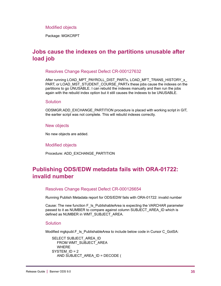### Modified objects

Package: MGKCRPT

### <span id="page-34-0"></span>**Jobs cause the indexes on the partitions unusable after load job**

Resolves Change Request Defect CR-000127632

After running LOAD\_MPT\_PAYROLL\_DIST\_PARTx, LOAD\_MFT\_TRANS\_HISTORY\_x PART, or LOAD\_MST\_STUDENT\_COURSE\_PARTx these jobs cause the indexes on the partitions to go UNUSABLE. I can rebuild the indexes manually and then run the jobs again with the rebuild index option but it still causes the indexes to be UNUSABLE.

### **Solution**

ODSMGR.ADD\_EXCHANGE\_PARTITION procedure is placed with working script in GIT, the earlier script was not complete. This will rebuild indexes correctly.

#### New objects

No new objects are added.

#### Modified objects

Procedure: ADD\_EXCHANGE\_PARTITION

### <span id="page-34-1"></span>**Publishing ODS/EDW metadata fails with ORA-01722: invalid number**

#### Resolves Change Request Defect CR-000126654

Running Publish Metadata report for ODS/EDW fails with ORA-01722: invalid number

Cause: The new function F\_Is\_PublishableArea is expecting the VARCHAR parameter passed to it as NUMBER to compare against column SUBJECT\_AREA\_ID which is defined as NUMBER in WMT\_SUBJECT\_AREA.

### Solution

Modified mgkpubl.F\_Is\_PublishableArea to include below code in Cursor C\_GotSA:

```
SELECT SUBJECT_AREA_ID
   FROM WMT_SUBJECT_AREA
   WHERE 
SYSTEM_ID = 2
   AND SUBJECT_AREA_ID = DECODE (
```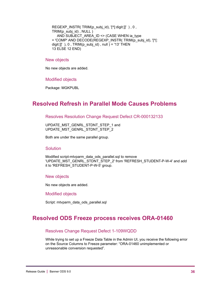REGEXP\_INSTR( TRIM(p\_subj\_id), '[^[:digit:]]' ), 0, TRIM(p\_subj\_id) , NULL ) AND SUBJECT\_AREA\_ID <> (CASE WHEN ia\_type = 'COMP' AND DECODE(REGEXP\_INSTR( TRIM(p\_subj\_id), '[^[: digit: $||'$ ), 0, TRIM(p\_subj\_id), null ) = '13' THEN 13 ELSE 12 END)

#### New objects

No new objects are added.

#### Modified objects

Package: MGKPUBL

### <span id="page-35-0"></span>**Resolved Refresh in Parallel Mode Causes Problems**

Resolves Resolution Change Request Defect CR-000132133

UPDATE\_MST\_GENRL\_STDNT\_STEP\_1 and UPDATE\_MST\_GENRL\_STDNT\_STEP\_2

Both are under the same parallel group.

### Solution

Modified script-mtvparm\_data\_ods\_parallel.sql to remove 'UPDATE\_MST\_GENRL\_STDNT\_STEP\_2' from 'REFRESH\_STUDENT-P-W-4' and add it to 'REFRESH\_STUDENT-P-W-5' group.

#### New objects

No new objects are added.

Modified objects

Script: mtvparm\_data\_ods\_parallel.sql

### <span id="page-35-1"></span>**Resolved ODS Freeze process receives ORA-01460**

### Resolves Change Request Defect 1-109WQDD

While trying to set up a Freeze Data Table in the Admin UI, you receive the following error on the Source Columns to Freeze parameter: "ORA-01460 unimplemented or unreasonable conversion requested".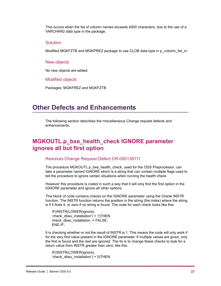This occurs when the list of column names exceeds 4000 characters, due to the use of a VARCHAR2 data type in the package.

### **Solution**

Modified MGKFZTB and MGKPREZ package to use CLOB data type in p\_column\_list\_in.

#### New objects

No new objects are added.

Modified objects

Packages: MGKFREZ and MGKFZTB

### <span id="page-36-0"></span>**Other Defects and Enhancements**

The following section describes the miscellaneous Change request defects and enhancements.

### <span id="page-36-1"></span>**MGKOUTL.p\_bxe\_health\_check IGNORE parameter ignores all but first option**

### Resolves Change Request Defect CR-000138111

The procedure MGKOUTL.p\_bxe\_health\_check, used for the ODS Preprocessor, can take a parameter named IGNORE which is a string that can contain multiple flags used to tell the procedure to ignore certain situations when running the health check.

However this procedure is coded in such a way that it will only find the first option in the IGNORE parameter and ignore all other options.

This block of code contains checks on the IGNORE parameter using the Oracle INSTR function. The INSTR function returns the position in the string (the index) where the string is if it finds it, or zero if no string is found. The code for each check looks like this:

IF(INSTR(LOWER(ignore), 'check dbeu installation') =  $1)$ THEN check dbeu installation := FALSE; END IF;

It is checking whether or not the result of INSTR is 1. This means the code will only work if for the very first value present in the IGNORE parameter. If multiple values are given, only the first is found and the rest are ignored. The fix is to change these checks to look for a return value from INSTR greater than zero; like this:

IF(INSTR(LOWER(ignore), 'check dbeu installation')  $> 0$ )THEN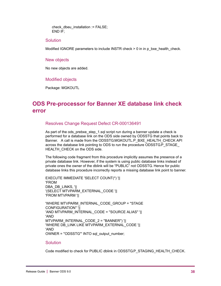check dbeu installation  $:=$  FALSE; END IF;

### **Solution**

Modified IGNORE parameters to include INSTR check > 0 in in p\_bxe\_health\_check.

#### New objects

No new objects are added.

#### Modified objects

Package: MGKOUTL

### <span id="page-37-0"></span>**ODS Pre-processor for Banner XE database link check error**

### Resolves Change Request Defect CR-000136491

As part of the ods prebxe step 1.sql script run during a banner update a check is performed for a database link on the ODS side owned by ODSSTG that points back to Banner. A call is made from the ODSSTG.MGKOUTL.P\_BXE\_HEALTH\_CHECK API across the database link pointing to ODS to run the procedure ODSSTG.P\_STAGE\_ HEALTH CHECK on the ODS side.

The following code fragment from this procedure implicitly assumes the presence of a private database link. However, if the system is using public database links instead of private ones the owner of the dblink will be "PUBLIC" not ODSSTG. Hence for public database links this procedure incorrectly reports a missing database link point to banner.

EXECUTE IMMEDIATE 'SELECT COUNT(\*) '|| 'FROM DBA\_DB\_LINKS, '|| '(SELECT MTVPARM\_EXTERNAL\_CODE '|| 'FROM MTVPARM '||

'WHERE MTVPARM\_INTERNAL\_CODE\_GROUP = ''STAGE CONFIGURATION'' '|| 'AND MTVPARM\_INTERNAL\_CODE = ''SOURCE ALIAS'' '|| 'AND MTVPARM\_INTERNAL\_CODE\_2 = ''BANNER'') '|| 'WHERE DB\_LINK LIKE MTVPARM\_EXTERNAL\_CODE '|| 'AND OWNER = ''ODSSTG''' INTO sql\_output\_number;

#### Solution

Code modified to check for PUBLIC dblink in ODSSTG.P\_STAGING\_HEALTH\_CHECK.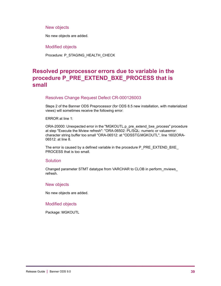### New objects

No new objects are added.

Modified objects

Procedure: P\_STAGING\_HEALTH\_CHECK

### <span id="page-38-0"></span>**Resolved preprocessor errors due to variable in the procedure P\_PRE\_EXTEND\_BXE\_PROCESS that is small**

### Resolves Change Request Defect CR-000126003

Steps 2 of the Banner ODS Preprocessor (for ODS 8.5 new installation, with materialized views) will sometimes receive the following error:

ERROR at line 1:

ORA-20000: Unexpected error in the "MGKOUTL.p\_pre\_extend\_bxe\_process" procedure at step "Execute the Mview refresh": "ORA-06502: PL/SQL: numeric or valueerror: character string buffer too small "ORA-06512: at "ODSSTG.MGKOUTL", line 1602ORA-06512: at line 8.

The error is caused by a defined variable in the procedure P\_PRE\_EXTEND\_BXE PROCESS that is too small.

### **Solution**

Changed parameter STMT datatype from VARCHAR to CLOB in perform\_mviews\_ refresh.

### New objects

No new objects are added.

### Modified objects

Package: MGKOUTL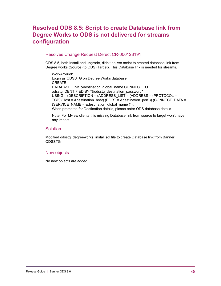### <span id="page-39-0"></span>**Resolved ODS 8.5: Script to create Database link from Degree Works to ODS is not delivered for streams configuration**

### Resolves Change Request Defect CR-000128191

ODS 8.5, both Install and upgrade, didn't deliver script to created database link from Degree works (Source) to ODS (Target). This Database link is needed for streams.

WorkAround: Login as ODSSTG on Degree Works database CREATE DATABASE LINK & destination\_global\_name CONNECT TO odsstg IDENTIFIED BY "&odsstg\_destination\_password" USING - '(DESCRIPTION = (ADDRESS\_LIST = (ADDRESS = (PROTOCOL = TCP) (Host = &destination\_host) (PORT = &destination\_port))) (CONNECT\_DATA = (SERVICE\_NAME =  $&$ destination\_global\_name )))'; When prompted for Destination details, please enter ODS database details.

Note: For Mview clients this missing Database link from source to target won't have any impact.

### **Solution**

Modified odsstg\_degreeworks\_install.sql file to create Database link from Banner ODSSTG.

### New objects

No new objects are added.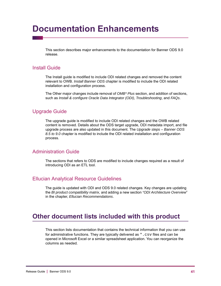# <span id="page-40-0"></span>**Documentation Enhancements**

This section describes major enhancements to the documentation for Banner ODS 9.0 release.

### <span id="page-40-1"></span>Install Guide

The Install guide is modified to include ODI related changes and removed the content relevant to OWB. *Install Banner ODS* chapter is modified to include the ODI related installation and configuration process.

The Other major changes include removal of *OMB\* Plus* section, and addition of sections, such as *Install & configure Oracle Data Integrator (ODI)*, *Troubleshooting*, and *FAQs*.

### <span id="page-40-2"></span>Upgrade Guide

The upgrade guide is modified to include ODI related changes and the OWB related content is removed. Details about the ODS target upgrade, ODI metadata import, and file upgrade process are also updated in this document. The *Upgrade steps – Banner ODS 8.5 to 9.0* chapter is modified to include the ODI related installation and configuration process.

### <span id="page-40-3"></span>Administration Guide

The sections that refers to ODS are modified to include changes required as a result of introducing ODI as an ETL tool.

### <span id="page-40-4"></span>Ellucian Analytical Resource Guidelines

The guide is updated with ODI and ODS 9.0 related changes. Key changes are updating the *BI product compatibility matrix,* and adding a new section *"ODI Architecture Overview*" in the chapter, *Ellucian Recommendations*.

### <span id="page-40-5"></span>**Other document lists included with this product**

This section lists documentation that contains the technical information that you can use for administrative functions. They are typically delivered as  $*$ .  $\text{csv}$  files and can be opened in Microsoft Excel or a similar spreadsheet application. You can reorganize the columns as needed.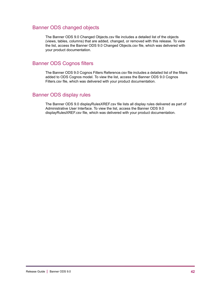### <span id="page-41-0"></span>Banner ODS changed objects

The Banner ODS 9.0 Changed Objects.csv file includes a detailed list of the objects (views, tables, columns) that are added, changed, or removed with this release. To view the list, access the Banner ODS 9.0 Changed Objects.csv file, which was delivered with your product documentation.

### <span id="page-41-1"></span>Banner ODS Cognos filters

The Banner ODS 9.0 Cognos Filters Reference.csv file includes a detailed list of the filters added to ODS Cognos model. To view the list, access the Banner ODS 9.0 Cognos Filters.csv file, which was delivered with your product documentation.

### <span id="page-41-2"></span>Banner ODS display rules

The Banner ODS 9.0 displayRulesXREF.csv file lists all display rules delivered as part of Administrative User Interface. To view the list, access the Banner ODS 9.0 displayRulesXREF.csv file, which was delivered with your product documentation.